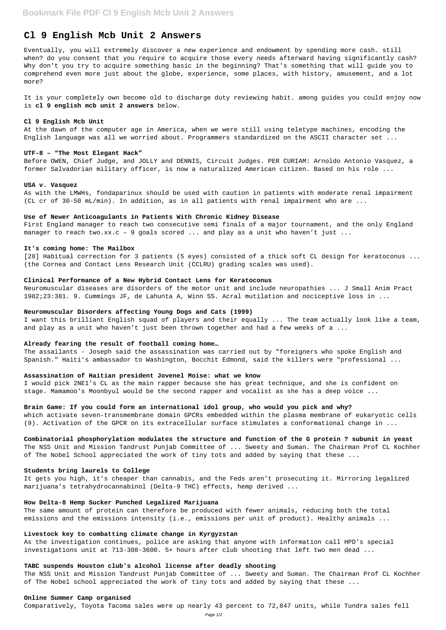# **Cl 9 English Mcb Unit 2 Answers**

Eventually, you will extremely discover a new experience and endowment by spending more cash. still when? do you consent that you require to acquire those every needs afterward having significantly cash? Why don't you try to acquire something basic in the beginning? That's something that will guide you to comprehend even more just about the globe, experience, some places, with history, amusement, and a lot more?

It is your completely own become old to discharge duty reviewing habit. among guides you could enjoy now is **cl 9 english mcb unit 2 answers** below.

## **Cl 9 English Mcb Unit**

First England manager to reach two consecutive semi finals of a major tournament, and the only England manager to reach two.xx.c - 9 goals scored  $\dots$  and play as a unit who haven't just  $\dots$ 

At the dawn of the computer age in America, when we were still using teletype machines, encoding the English language was all we worried about. Programmers standardized on the ASCII character set ...

#### **UTF-8 – "The Most Elegant Hack"**

Before OWEN, Chief Judge, and JOLLY and DENNIS, Circuit Judges. PER CURIAM: Arnoldo Antonio Vasquez, a former Salvadorian military officer, is now a naturalized American citizen. Based on his role ...

#### **USA v. Vasquez**

As with the LMWHs, fondaparinux should be used with caution in patients with moderate renal impairment (CL cr of 30-50 mL/min). In addition, as in all patients with renal impairment who are ...

#### **Use of Newer Anticoagulants in Patients With Chronic Kidney Disease**

#### **It's coming home: The Mailbox**

[28] Habitual correction for 3 patients (5 eyes) consisted of a thick soft CL design for keratoconus ... (the Cornea and Contact Lens Research Unit (CCLRU) grading scales was used).

## **Clinical Performance of a New Hybrid Contact Lens for Keratoconus**

Neuromuscular diseases are disorders of the motor unit and include neuropathies ... J Small Anim Pract 1982;23:381. 9. Cummings JF, de Lahunta A, Winn SS. Acral mutilation and nociceptive loss in ...

#### **Neuromuscular Disorders affecting Young Dogs and Cats (1999)**

I want this brilliant English squad of players and their equally ... The team actually look like a team, and play as a unit who haven't just been thrown together and had a few weeks of a ...

## **Already fearing the result of football coming home…**

The assailants - Joseph said the assassination was carried out by "foreigners who spoke English and Spanish." Haiti's ambassador to Washington, Bocchit Edmond, said the killers were "professional ...

#### **Assassination of Haitian president Jovenel Moise: what we know**

I would pick 2NE1's CL as the main rapper because she has great technique, and she is confident on stage. Mamamoo's Moonbyul would be the second rapper and vocalist as she has a deep voice ...

## **Brain Game: If you could form an international idol group, who would you pick and why?**

which activate seven-transmembrane domain GPCRs embedded within the plasma membrane of eukaryotic cells (9). Activation of the GPCR on its extracellular surface stimulates a conformational change in ...

**Combinatorial phosphorylation modulates the structure and function of the G protein ? subunit in yeast** The NSS Unit and Mission Tandrust Punjab Committee of ... Sweety and Suman. The Chairman Prof CL Kochher of The Nobel School appreciated the work of tiny tots and added by saying that these ...

## **Students bring laurels to College**

It gets you high, it's cheaper than cannabis, and the Feds aren't prosecuting it. Mirroring legalized marijuana's tetrahydrocannabinol (Delta-9 THC) effects, hemp derived ...

## **How Delta-8 Hemp Sucker Punched Legalized Marijuana**

The same amount of protein can therefore be produced with fewer animals, reducing both the total emissions and the emissions intensity (i.e., emissions per unit of product). Healthy animals ...

## **Livestock key to combatting climate change in Kyrgyzstan**

As the investigation continues, police are asking that anyone with information call HPD's special investigations unit at 713-308-3600. 5+ hours after club shooting that left two men dead ...

## **TABC suspends Houston club's alcohol license after deadly shooting**

The NSS Unit and Mission Tandrust Punjab Committee of ... Sweety and Suman. The Chairman Prof CL Kochher of The Nobel school appreciated the work of tiny tots and added by saying that these ...

## **Online Summer Camp organised**

Comparatively, Toyota Tacoma sales were up nearly 43 percent to 72,847 units, while Tundra sales fell